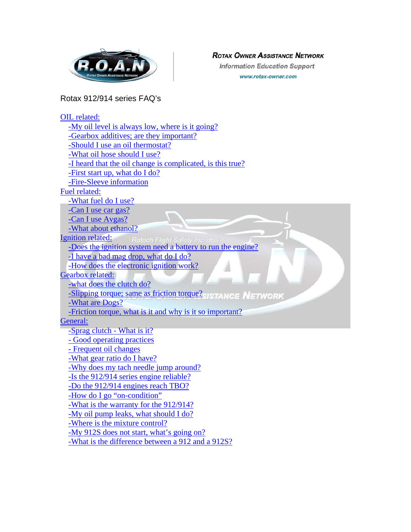<span id="page-0-0"></span>

#### **ROTAX OWNER ASSISTANCE NETWORK**

**Information Education Support** www.rotax-owner.com

# Rotax 912/914 series FAQ's

| OIL related:                                                |
|-------------------------------------------------------------|
| -My oil level is always low, where is it going?             |
| -Gearbox additives; are they important?                     |
| -Should I use an oil thermostat?                            |
| -What oil hose should I use?                                |
| -I heard that the oil change is complicated, is this true?  |
| -First start up, what do I do?                              |
| -Fire-Sleeve information                                    |
| Fuel related:                                               |
| -What fuel do I use?                                        |
| -Can I use car gas?                                         |
| -Can I use Avgas?                                           |
| -What about ethanol?                                        |
| <b>Ignition related:</b><br>Rotech Flight Safety Inc. dba:  |
| -Does the ignition system need a battery to run the engine? |
| -I have a bad mag drop, what do I do?                       |
| -How does the electronic ignition work?                     |
| <b>Gearbox related:</b>                                     |
| -what does the clutch do?                                   |
| -Slipping torque; same as friction torque? ISTANCE NETWORK  |
| -What are Dogs?                                             |
| -Friction torque, what is it and why is it so important?    |
| General:                                                    |
| -Sprag clutch - What is it?                                 |
| - Good operating practices                                  |
| - Frequent oil changes                                      |
| -What gear ratio do I have?                                 |
| -Why does my tach needle jump around?                       |
| -Is the 912/914 series engine reliable?                     |
| -Do the 912/914 engines reach TBO?                          |
| -How do I go "on-condition"                                 |
| -What is the warranty for the 912/914?                      |
| -My oil pump leaks, what should I do?                       |
| -Where is the mixture control?                              |
| -My 912S does not start, what's going on?                   |
| -What is the difference between a 912 and a 912S?           |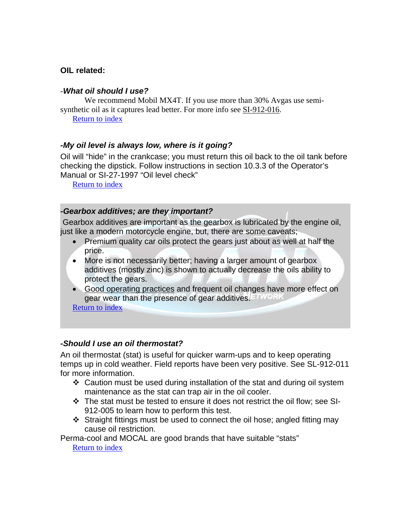#### <span id="page-1-0"></span>**OIL related:**

#### -*What oil should I use?*

We recommend Mobil MX4T. If you use more than 30% Avgas use semisynthetic oil as it captures lead better. For more info see SI-912-016. [Return to index](#page-0-0)

#### *-My oil level is always low, where is it going?*

Oil will "hide" in the crankcase; you must return this oil back to the oil tank before checking the dipstick. Follow instructions in section 10.3.3 of the Operator's Manual or SI-27-1997 "Oil level check"

[Return to index](#page-0-0)

#### *-Gearbox additives; are they important?*

 Gearbox additives are important as the gearbox is lubricated by the engine oil, just like a modern motorcycle engine, but, there are some caveats;

- Premium quality car oils protect the gears just about as well at half the price.
- More is not necessarily better; having a larger amount of gearbox additives (mostly zinc) is shown to actually decrease the oils ability to protect the gears.
- Good operating practices and frequent oil changes have more effect on gear wear than the presence of gear additives.

[Return to index](#page-0-0)

#### *-Should I use an oil thermostat?*

An oil thermostat (stat) is useful for quicker warm-ups and to keep operating temps up in cold weather. Field reports have been very positive. See SL-912-011 for more information.

- Caution must be used during installation of the stat and during oil system maintenance as the stat can trap air in the oil cooler.
- \* The stat must be tested to ensure it does not restrict the oil flow; see SI-912-005 to learn how to perform this test.
- $\div$  Straight fittings must be used to connect the oil hose; angled fitting may cause oil restriction.

Perma-cool and MOCAL are good brands that have suitable "stats" [Return to index](#page-0-0)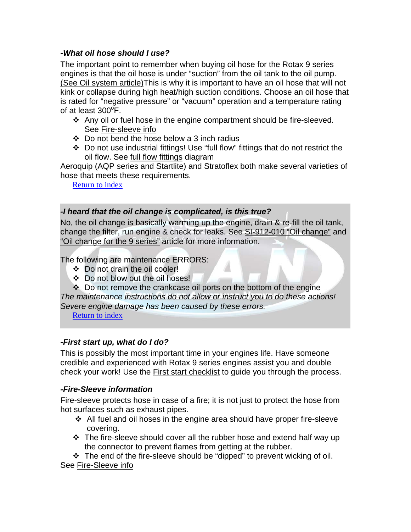### <span id="page-2-0"></span>*-What oil hose should I use?*

The important point to remember when buying oil hose for the Rotax 9 series engines is that the oil hose is under "suction" from the oil tank to the oil pump. (See Oil system article)This is why it is important to have an oil hose that will not kink or collapse during high heat/high suction conditions. Choose an oil hose that is rated for "negative pressure" or "vacuum" operation and a temperature rating of at least  $300^{\circ}$ F.

- $\div$  Any oil or fuel hose in the engine compartment should be fire-sleeved. See Fire-sleeve info
- $\div$  Do not bend the hose below a 3 inch radius
- Do not use industrial fittings! Use "full flow" fittings that do not restrict the oil flow. See full flow fittings diagram

Aeroquip (AQP series and Startlite) and Stratoflex both make several varieties of hose that meets these requirements.

[Return to index](#page-0-0)

### *-I heard that the oil change is complicated, is this true?*

No, the oil change is basically warming up the engine, drain & re-fill the oil tank, change the filter, run engine & check for leaks. See SI-912-010 "Oil change" and "Oil change for the 9 series" article for more information.

The following are maintenance ERRORS:

- Do not drain the oil cooler!
- Do not blow out the oil hoses!
- Do not remove the crankcase oil ports on the bottom of the engine *The maintenance instructions do not allow or instruct you to do these actions! Severe engine damage has been caused by these errors.*

[Return to index](#page-0-0)

### *-First start up, what do I do?*

This is possibly the most important time in your engines life. Have someone credible and experienced with Rotax 9 series engines assist you and double check your work! Use the First start checklist to guide you through the process.

# *-Fire-Sleeve information*

Fire-sleeve protects hose in case of a fire; it is not just to protect the hose from hot surfaces such as exhaust pipes.

- $\div$  All fuel and oil hoses in the engine area should have proper fire-sleeve covering.
- $\div$  The fire-sleeve should cover all the rubber hose and extend half way up the connector to prevent flames from getting at the rubber.

 $\div$  The end of the fire-sleeve should be "dipped" to prevent wicking of oil. See Fire-Sleeve info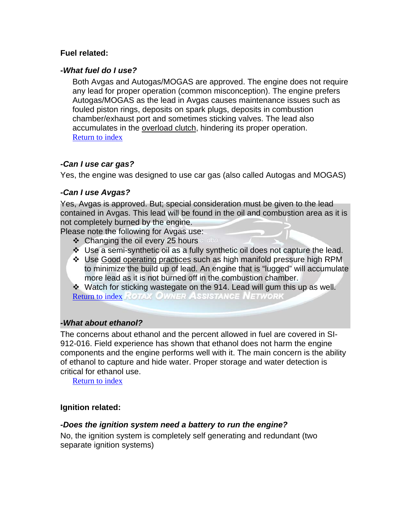#### <span id="page-3-0"></span>**Fuel related:**

#### *-What fuel do I use?*

Both Avgas and Autogas/MOGAS are approved. The engine does not require any lead for proper operation (common misconception). The engine prefers Autogas/MOGAS as the lead in Avgas causes maintenance issues such as fouled piston rings, deposits on spark plugs, deposits in combustion chamber/exhaust port and sometimes sticking valves. The lead also accumulates in the overload clutch, hindering its proper operation. [Return to index](#page-0-0)

### *-Can I use car gas?*

Yes, the engine was designed to use car gas (also called Autogas and MOGAS)

#### *-Can I use Avgas?*

Yes, Avgas is approved. But; special consideration must be given to the lead contained in Avgas. This lead will be found in the oil and combustion area as it is not completely burned by the engine.

Please note the following for Avgas use:

- ❖ Changing the oil every 25 hours of the
- \* Use a semi-synthetic oil as a fully synthetic oil does not capture the lead.
- Use Good operating practices such as high manifold pressure high RPM to minimize the build up of lead. An engine that is "lugged" will accumulate more lead as it is not burned off in the combustion chamber.

 Watch for sticking wastegate on the 914. Lead will gum this up as well. **[Return to index](#page-0-0) ROTAX OWNER ASSISTANCE NETWORK** 

### *-What about ethanol?*

The concerns about ethanol and the percent allowed in fuel are covered in SI-912-016. Field experience has shown that ethanol does not harm the engine components and the engine performs well with it. The main concern is the ability of ethanol to capture and hide water. Proper storage and water detection is critical for ethanol use.

[Return to index](#page-0-0)

### **Ignition related:**

### *-Does the ignition system need a battery to run the engine?*

No, the ignition system is completely self generating and redundant (two separate ignition systems)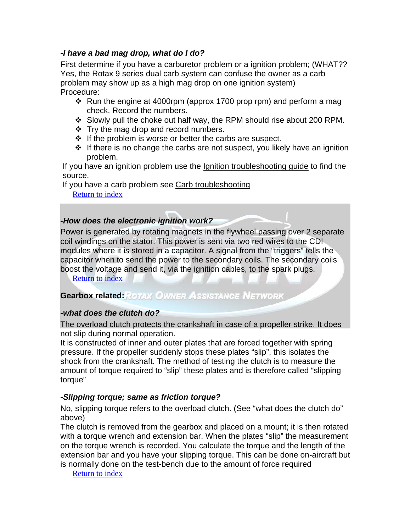### <span id="page-4-0"></span>*-I have a bad mag drop, what do I do?*

First determine if you have a carburetor problem or a ignition problem; (WHAT?? Yes, the Rotax 9 series dual carb system can confuse the owner as a carb problem may show up as a high mag drop on one ignition system) Procedure:

- $\div$  Run the engine at 4000rpm (approx 1700 prop rpm) and perform a mag check. Record the numbers.
- Slowly pull the choke out half way, the RPM should rise about 200 RPM.
- $\div$  Try the mag drop and record numbers.
- $\div$  If the problem is worse or better the carbs are suspect.
- $\cdot \cdot$  If there is no change the carbs are not suspect, you likely have an ignition problem.

If you have an ignition problem use the Ignition troubleshooting guide to find the source.

If you have a carb problem see Carb troubleshooting

[Return to index](#page-0-0)

#### *-How does the electronic ignition work?*

Power is generated by rotating magnets in the flywheel passing over 2 separate coil windings on the stator. This power is sent via two red wires to the CDI modules where it is stored in a capacitor. A signal from the "triggers" tells the capacitor when to send the power to the secondary coils. The secondary coils boost the voltage and send it, via the ignition cables, to the spark plugs.

[Return to index](#page-0-0)

# **Gearbox related: ROTAX OWNER ASSISTANCE NETWORK**

#### *-what does the clutch do?*

The overload clutch protects the crankshaft in case of a propeller strike. It does not slip during normal operation.

It is constructed of inner and outer plates that are forced together with spring pressure. If the propeller suddenly stops these plates "slip", this isolates the shock from the crankshaft. The method of testing the clutch is to measure the amount of torque required to "slip" these plates and is therefore called "slipping torque"

### *-Slipping torque; same as friction torque?*

No, slipping torque refers to the overload clutch. (See "what does the clutch do" above)

The clutch is removed from the gearbox and placed on a mount; it is then rotated with a torque wrench and extension bar. When the plates "slip" the measurement on the torque wrench is recorded. You calculate the torque and the length of the extension bar and you have your slipping torque. This can be done on-aircraft but is normally done on the test-bench due to the amount of force required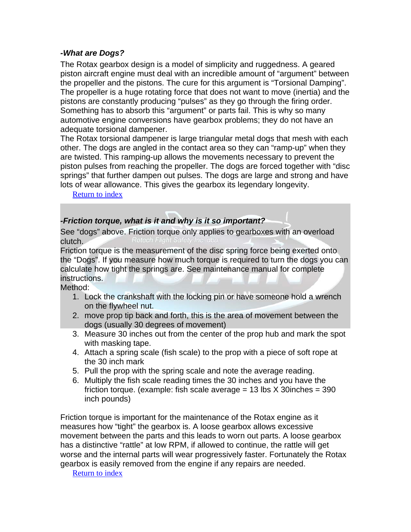#### <span id="page-5-0"></span>*-What are Dogs?*

The Rotax gearbox design is a model of simplicity and ruggedness. A geared piston aircraft engine must deal with an incredible amount of "argument" between the propeller and the pistons. The cure for this argument is "Torsional Damping". The propeller is a huge rotating force that does not want to move (inertia) and the pistons are constantly producing "pulses" as they go through the firing order. Something has to absorb this "argument" or parts fail. This is why so many automotive engine conversions have gearbox problems; they do not have an adequate torsional dampener.

The Rotax torsional dampener is large triangular metal dogs that mesh with each other. The dogs are angled in the contact area so they can "ramp-up" when they are twisted. This ramping-up allows the movements necessary to prevent the piston pulses from reaching the propeller. The dogs are forced together with "disc springs" that further dampen out pulses. The dogs are large and strong and have lots of wear allowance. This gives the gearbox its legendary longevity.

#### [Return to index](#page-0-0)

### *-Friction torque, what is it and why is it so important?*

See "dogs" above. Friction torque only applies to gearboxes with an overload clutch.

Friction torque is the measurement of the disc spring force being exerted onto the "Dogs". If you measure how much torque is required to turn the dogs you can calculate how tight the springs are. See maintenance manual for complete instructions.

Method:

- 1. Lock the crankshaft with the locking pin or have someone hold a wrench on the flywheel nut.
- 2. move prop tip back and forth, this is the area of movement between the dogs (usually 30 degrees of movement)
- 3. Measure 30 inches out from the center of the prop hub and mark the spot with masking tape.
- 4. Attach a spring scale (fish scale) to the prop with a piece of soft rope at the 30 inch mark
- 5. Pull the prop with the spring scale and note the average reading.
- 6. Multiply the fish scale reading times the 30 inches and you have the friction torque. (example: fish scale average  $= 13$  lbs  $X$  30 inches  $= 390$ inch pounds)

Friction torque is important for the maintenance of the Rotax engine as it measures how "tight" the gearbox is. A loose gearbox allows excessive movement between the parts and this leads to worn out parts. A loose gearbox has a distinctive "rattle" at low RPM, if allowed to continue, the rattle will get worse and the internal parts will wear progressively faster. Fortunately the Rotax gearbox is easily removed from the engine if any repairs are needed.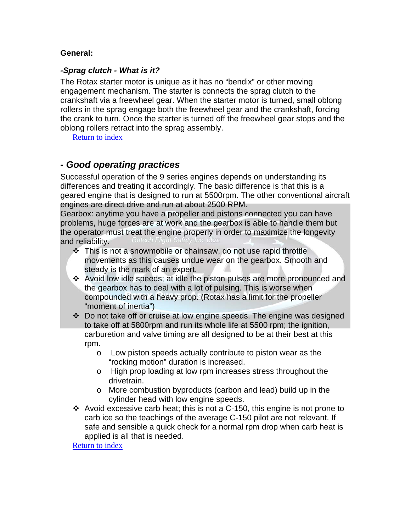#### <span id="page-6-0"></span>**General:**

#### *-Sprag clutch - What is it?*

The Rotax starter motor is unique as it has no "bendix" or other moving engagement mechanism. The starter is connects the sprag clutch to the crankshaft via a freewheel gear. When the starter motor is turned, small oblong rollers in the sprag engage both the freewheel gear and the crankshaft, forcing the crank to turn. Once the starter is turned off the freewheel gear stops and the oblong rollers retract into the sprag assembly.

[Return to index](#page-0-0)

# *- Good operating practices*

Successful operation of the 9 series engines depends on understanding its differences and treating it accordingly. The basic difference is that this is a geared engine that is designed to run at 5500rpm. The other conventional aircraft engines are direct drive and run at about 2500 RPM.

Gearbox: anytime you have a propeller and pistons connected you can have problems, huge forces are at work and the gearbox is able to handle them but the operator must treat the engine properly in order to maximize the longevity and reliability.

- This is not a snowmobile or chainsaw, do not use rapid throttle movements as this causes undue wear on the gearbox. Smooth and steady is the mark of an expert.
- Avoid low idle speeds; at idle the piston pulses are more pronounced and the gearbox has to deal with a lot of pulsing. This is worse when compounded with a heavy prop. (Rotax has a limit for the propeller "moment of inertia")
- Do not take off or cruise at low engine speeds. The engine was designed to take off at 5800rpm and run its whole life at 5500 rpm; the ignition, carburetion and valve timing are all designed to be at their best at this rpm.
	- o Low piston speeds actually contribute to piston wear as the "rocking motion" duration is increased.
	- o High prop loading at low rpm increases stress throughout the drivetrain.
	- o More combustion byproducts (carbon and lead) build up in the cylinder head with low engine speeds.
- $\div$  Avoid excessive carb heat; this is not a C-150, this engine is not prone to carb ice so the teachings of the average C-150 pilot are not relevant. If safe and sensible a quick check for a normal rpm drop when carb heat is applied is all that is needed.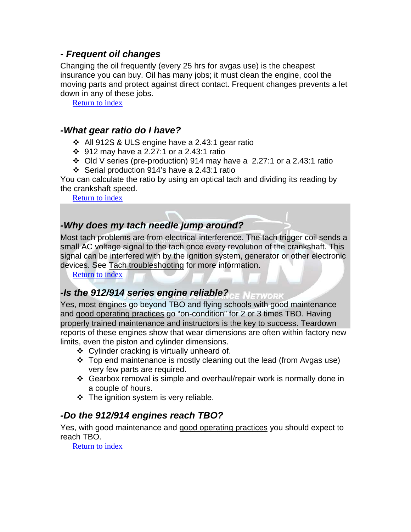### <span id="page-7-0"></span>*- Frequent oil changes*

Changing the oil frequently (every 25 hrs for avgas use) is the cheapest insurance you can buy. Oil has many jobs; it must clean the engine, cool the moving parts and protect against direct contact. Frequent changes prevents a let down in any of these jobs.

[Return to index](#page-0-0)

### *-What gear ratio do I have?*

- $\div$  All 912S & ULS engine have a 2.43:1 gear ratio
- 912 may have a 2.27:1 or a 2.43:1 ratio
- Old V series (pre-production) 914 may have a 2.27:1 or a 2.43:1 ratio
- Serial production 914's have a 2.43:1 ratio

You can calculate the ratio by using an optical tach and dividing its reading by the crankshaft speed.

[Return to index](#page-0-0)

# *-Why does my tach needle jump around?*

Most tach problems are from electrical interference. The tach trigger coil sends a small AC voltage signal to the tach once every revolution of the crankshaft. This signal can be interfered with by the ignition system, generator or other electronic devices. See Tach troubleshooting for more information.

[Return to index](#page-0-0)

# *-Is the 912/914 series engine reliable?*

Yes, most engines go beyond TBO and flying schools with good maintenance and good operating practices go "on-condition" for 2 or 3 times TBO. Having properly trained maintenance and instructors is the key to success. Teardown reports of these engines show that wear dimensions are often within factory new limits, even the piston and cylinder dimensions.

- ❖ Cylinder cracking is virtually unheard of.
- $\div$  Top end maintenance is mostly cleaning out the lead (from Avgas use) very few parts are required.
- Gearbox removal is simple and overhaul/repair work is normally done in a couple of hours.
- $\div$  The ignition system is very reliable.

# *-Do the 912/914 engines reach TBO?*

Yes, with good maintenance and good operating practices you should expect to reach TBO.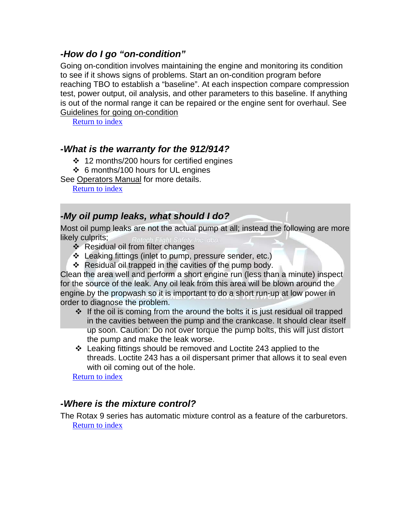# <span id="page-8-0"></span>*-How do I go "on-condition"*

Going on-condition involves maintaining the engine and monitoring its condition to see if it shows signs of problems. Start an on-condition program before reaching TBO to establish a "baseline". At each inspection compare compression test, power output, oil analysis, and other parameters to this baseline. If anything is out of the normal range it can be repaired or the engine sent for overhaul. See Guidelines for going on-condition

[Return to index](#page-0-0)

# *-What is the warranty for the 912/914?*

- $\div$  12 months/200 hours for certified engines
- 6 months/100 hours for UL engines

See Operators Manual for more details.

[Return to index](#page-0-0)

# *-My oil pump leaks, what should I do?*

Most oil pump leaks are not the actual pump at all; instead the following are more likely culprits:

- ❖ Residual oil from filter changes
- Leaking fittings (inlet to pump, pressure sender, etc.)
- $\div$  Residual oil trapped in the cavities of the pump body.

Clean the area well and perform a short engine run (less than a minute) inspect for the source of the leak. Any oil leak from this area will be blown around the engine by the propwash so it is important to do a short run-up at low power in order to diagnose the problem.

- $\cdot \cdot$  If the oil is coming from the around the bolts it is just residual oil trapped in the cavities between the pump and the crankcase. It should clear itself up soon. Caution: Do not over torque the pump bolts, this will just distort the pump and make the leak worse.
- Leaking fittings should be removed and Loctite 243 applied to the threads. Loctite 243 has a oil dispersant primer that allows it to seal even with oil coming out of the hole.

[Return](#page-0-0) to [index](#page-0-0)

# *-Where is the mixture control?*

The Rotax 9 series has automatic mixture control as a feature of the carburetors. [Return](#page-0-0) to [index](#page-0-0)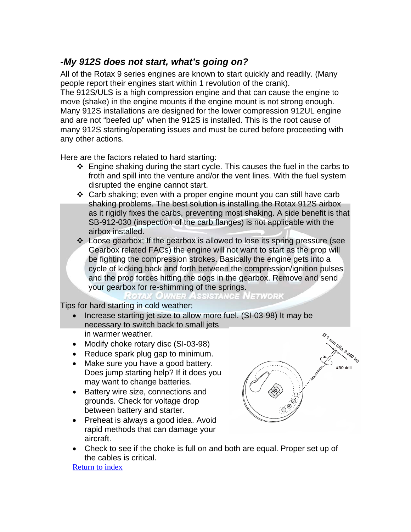# <span id="page-9-0"></span>*-My 912S does not start, what's going on?*

All of the Rotax 9 series engines are known to start quickly and readily. (Many people report their engines start within 1 revolution of the crank).

The 912S/ULS is a high compression engine and that can cause the engine to move (shake) in the engine mounts if the engine mount is not strong enough. Many 912S installations are designed for the lower compression 912UL engine and are not "beefed up" when the 912S is installed. This is the root cause of many 912S starting/operating issues and must be cured before proceeding with any other actions.

Here are the factors related to hard starting:

- $\div$  Engine shaking during the start cycle. This causes the fuel in the carbs to froth and spill into the venture and/or the vent lines. With the fuel system disrupted the engine cannot start.
- $\div$  Carb shaking; even with a proper engine mount you can still have carb shaking problems. The best solution is installing the Rotax 912S airbox as it rigidly fixes the carbs, preventing most shaking. A side benefit is that SB-912-030 (inspection of the carb flanges) is not applicable with the airbox installed.
- Loose gearbox; If the gearbox is allowed to lose its spring pressure (see Gearbox related FACs) the engine will not want to start as the prop will be fighting the compression strokes. Basically the engine gets into a cycle of kicking back and forth between the compression/ignition pulses and the prop forces hitting the dogs in the gearbox. Remove and send your gearbox for re-shimming of the springs.

otax Owner Assistance Network

Tips for hard starting in cold weather:

- Increase starting jet size to allow more fuel. (SI-03-98) It may be necessary to switch back to small jets in warmer weather.
- Modify choke rotary disc (SI-03-98)
- Reduce spark plug gap to minimum.
- Make sure you have a good battery. Does jump starting help? If it does you may want to change batteries.
- Battery wire size, connections and grounds. Check for voltage drop between battery and starter.



- Preheat is always a good idea. Avoid rapid methods that can damage your aircraft.
- Check to see if the choke is full on and both are equal. Proper set up of the cables is critical.